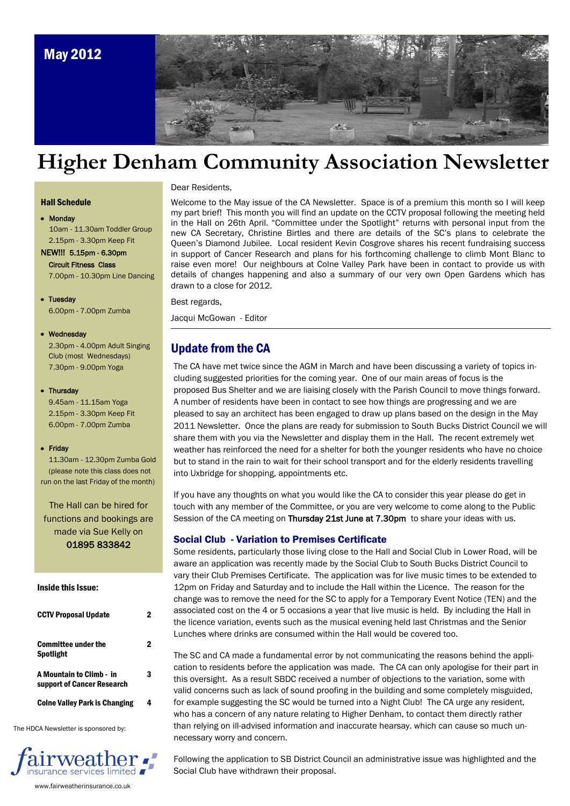

# **Higher Denham Community Association Newsletter**

#### Dear Residents,

#### Hall Schedule

Monday 10am - 11.30am Toddler Group 2.15pm - 3.30pm Keep Fit

NEW!!! 5.15pm - 6.30pm Circuit Fitness Class 7.00pm - 10.30pm Line Dancing

### • Tuesday

6.00pm - 7.00pm Zumba

### Wednesday

2.30pm - 4.00pm Adult Singing Club (most Wednesdays) 7.30pm - 9.00pm Yoga

#### • Thursday

 9.45am - 11.15am Yoga 2.15pm - 3.30pm Keep Fit 6.00pm - 7.00pm Zumba

#### • Friday

 11.30am - 12.30pm Zumba Gold (please note this class does not run on the last Friday of the month)

The Hall can be hired for functions and bookings are made via Sue Kelly on 01895 833842

#### Inside this Issue:

| <b>CCTV Proposal Update</b>                            | 2 |
|--------------------------------------------------------|---|
| Committee under the<br>Spotlight                       | 2 |
| A Mountain to Climb - in<br>support of Cancer Research | 3 |
| <b>Coine Valley Park is Changing</b>                   |   |

The HDCA Newsletter is sponsored by:



www.fairweatherinsurance.co.uk

Welcome to the May issue of the CA Newsletter. Space is of a premium this month so I will keep my part brief! This month you will find an update on the CCTV proposal following the meeting held in the Hall on 26th April. "Committee under the Spotlight" returns with personal input from the new CA Secretary, Christine Birtles and there are details of the SC's plans to celebrate the Queen's Diamond Jubilee. Local resident Kevin Cosgrove shares his recent fundraising success in support of Cancer Research and plans for his forthcoming challenge to climb Mont Blanc to raise even more! Our neighbours at Colne Valley Park have been in contact to provide us with details of changes happening and also a summary of our very own Open Gardens which has drawn to a close for 2012.

#### Best regards,

Jacqui McGowan - Editor

### Update from the CA

The CA have met twice since the AGM in March and have been discussing a variety of topics including suggested priorities for the coming year. One of our main areas of focus is the proposed Bus Shelter and we are liaising closely with the Parish Council to move things forward. A number of residents have been in contact to see how things are progressing and we are pleased to say an architect has been engaged to draw up plans based on the design in the May 2011 Newsletter. Once the plans are ready for submission to South Bucks District Council we will share them with you via the Newsletter and display them in the Hall. The recent extremely wet weather has reinforced the need for a shelter for both the younger residents who have no choice but to stand in the rain to wait for their school transport and for the elderly residents travelling into Uxbridge for shopping, appointments etc.

If you have any thoughts on what you would like the CA to consider this year please do get in touch with any member of the Committee, or you are very welcome to come along to the Public Session of the CA meeting on Thursday 21st June at 7.30pm to share your ideas with us.

### Social Club - Variation to Premises Certificate

Some residents, particularly those living close to the Hall and Social Club in Lower Road, will be aware an application was recently made by the Social Club to South Bucks District Council to vary their Club Premises Certificate. The application was for live music times to be extended to 12pm on Friday and Saturday and to include the Hall within the Licence. The reason for the change was to remove the need for the SC to apply for a Temporary Event Notice (TEN) and the associated cost on the 4 or 5 occasions a year that live music is held. By including the Hall in the licence variation, events such as the musical evening held last Christmas and the Senior Lunches where drinks are consumed within the Hall would be covered too.

The SC and CA made a fundamental error by not communicating the reasons behind the application to residents before the application was made. The CA can only apologise for their part in this oversight. As a result SBDC received a number of objections to the variation, some with valid concerns such as lack of sound proofing in the building and some completely misguided, for example suggesting the SC would be turned into a Night Club! The CA urge any resident, who has a concern of any nature relating to Higher Denham, to contact them directly rather than relying on ill-advised information and inaccurate hearsay. which can cause so much unnecessary worry and concern.

Following the application to SB District Council an administrative issue was highlighted and the Social Club have withdrawn their proposal.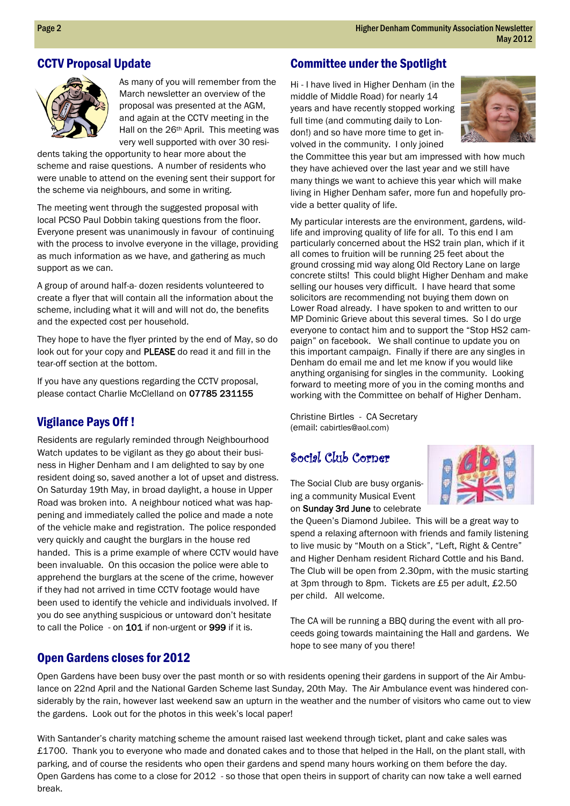### CCTV Proposal Update



As many of you will remember from the March newsletter an overview of the proposal was presented at the AGM, and again at the CCTV meeting in the Hall on the 26th April. This meeting was very well supported with over 30 resi-

dents taking the opportunity to hear more about the scheme and raise questions. A number of residents who were unable to attend on the evening sent their support for the scheme via neighbours, and some in writing.

The meeting went through the suggested proposal with local PCSO Paul Dobbin taking questions from the floor. Everyone present was unanimously in favour of continuing with the process to involve everyone in the village, providing as much information as we have, and gathering as much support as we can.

A group of around half-a- dozen residents volunteered to create a flyer that will contain all the information about the scheme, including what it will and will not do, the benefits and the expected cost per household.

They hope to have the flyer printed by the end of May, so do look out for your copy and PLEASE do read it and fill in the tear-off section at the bottom.

If you have any questions regarding the CCTV proposal, please contact Charlie McClelland on 07785 231155

### Vigilance Pays Off !

Residents are regularly reminded through Neighbourhood Watch updates to be vigilant as they go about their business in Higher Denham and I am delighted to say by one resident doing so, saved another a lot of upset and distress. On Saturday 19th May, in broad daylight, a house in Upper Road was broken into. A neighbour noticed what was happening and immediately called the police and made a note of the vehicle make and registration. The police responded very quickly and caught the burglars in the house red handed. This is a prime example of where CCTV would have been invaluable. On this occasion the police were able to apprehend the burglars at the scene of the crime, however if they had not arrived in time CCTV footage would have been used to identify the vehicle and individuals involved. If you do see anything suspicious or untoward don't hesitate to call the Police - on 101 if non-urgent or 999 if it is.

### Open Gardens closes for 2012

### Committee under the Spotlight

Hi - I have lived in Higher Denham (in the middle of Middle Road) for nearly 14 years and have recently stopped working full time (and commuting daily to London!) and so have more time to get involved in the community. I only joined



the Committee this year but am impressed with how much they have achieved over the last year and we still have many things we want to achieve this year which will make living in Higher Denham safer, more fun and hopefully provide a better quality of life.

My particular interests are the environment, gardens, wildlife and improving quality of life for all. To this end I am particularly concerned about the HS2 train plan, which if it all comes to fruition will be running 25 feet about the ground crossing mid way along Old Rectory Lane on large concrete stilts! This could blight Higher Denham and make selling our houses very difficult. I have heard that some solicitors are recommending not buying them down on Lower Road already. I have spoken to and written to our MP Dominic Grieve about this several times. So I do urge everyone to contact him and to support the "Stop HS2 campaign" on facebook. We shall continue to update you on this important campaign. Finally if there are any singles in Denham do email me and let me know if you would like anything organising for singles in the community. Looking forward to meeting more of you in the coming months and working with the Committee on behalf of Higher Denham.

Christine Birtles - CA Secretary (email: cabirtles@aol.com)

# Social Club Corner

The Social Club are busy organising a community Musical Event on Sunday 3rd June to celebrate

the Queen's Diamond Jubilee. This will be a great way to spend a relaxing afternoon with friends and family listening to live music by "Mouth on a Stick", "Left, Right & Centre" and Higher Denham resident Richard Cottle and his Band. The Club will be open from 2.30pm, with the music starting at 3pm through to 8pm. Tickets are £5 per adult, £2.50 per child. All welcome.

The CA will be running a BBQ during the event with all proceeds going towards maintaining the Hall and gardens. We hope to see many of you there!

Open Gardens have been busy over the past month or so with residents opening their gardens in support of the Air Ambulance on 22nd April and the National Garden Scheme last Sunday, 20th May. The Air Ambulance event was hindered considerably by the rain, however last weekend saw an upturn in the weather and the number of visitors who came out to view the gardens. Look out for the photos in this week's local paper!

 parking, and of course the residents who open their gardens and spend many hours working on them before the day. With Santander's charity matching scheme the amount raised last weekend through ticket, plant and cake sales was £1700. Thank you to everyone who made and donated cakes and to those that helped in the Hall, on the plant stall, with Open Gardens has come to a close for 2012 - so those that open theirs in support of charity can now take a well earned break.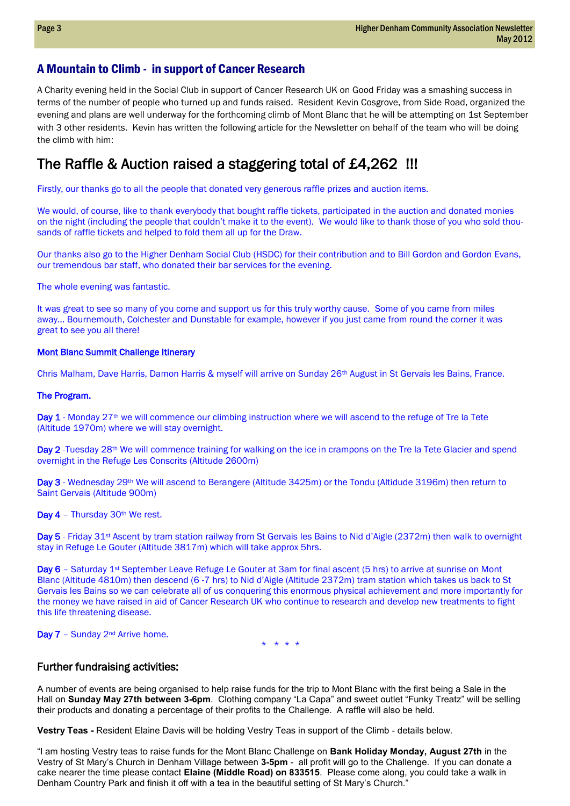### A Mountain to Climb - in support of Cancer Research

A Charity evening held in the Social Club in support of Cancer Research UK on Good Friday was a smashing success in terms of the number of people who turned up and funds raised. Resident Kevin Cosgrove, from Side Road, organized the evening and plans are well underway for the forthcoming climb of Mont Blanc that he will be attempting on 1st September with 3 other residents. Kevin has written the following article for the Newsletter on behalf of the team who will be doing the climb with him:

# The Raffle & Auction raised a staggering total of £4,262 !!!

Firstly, our thanks go to all the people that donated very generous raffle prizes and auction items.

We would, of course, like to thank everybody that bought raffle tickets, participated in the auction and donated monies on the night (including the people that couldn't make it to the event). We would like to thank those of you who sold thousands of raffle tickets and helped to fold them all up for the Draw.

Our thanks also go to the Higher Denham Social Club (HSDC) for their contribution and to Bill Gordon and Gordon Evans, our tremendous bar staff, who donated their bar services for the evening.

The whole evening was fantastic.

It was great to see so many of you come and support us for this truly worthy cause. Some of you came from miles away… Bournemouth, Colchester and Dunstable for example, however if you just came from round the corner it was great to see you all there!

### Mont Blanc Summit Challenge Itinerary

Chris Malham, Dave Harris, Damon Harris & myself will arrive on Sunday 26th August in St Gervais les Bains, France.

### The Program.

Day 1 - Monday 27<sup>th</sup> we will commence our climbing instruction where we will ascend to the refuge of Tre la Tete (Altitude 1970m) where we will stay overnight.

Day 2 -Tuesday 28<sup>th</sup> We will commence training for walking on the ice in crampons on the Tre la Tete Glacier and spend overnight in the Refuge Les Conscrits (Altitude 2600m)

Day 3 - Wednesday 29<sup>th</sup> We will ascend to Berangere (Altitude 3425m) or the Tondu (Altidude 3196m) then return to Saint Gervais (Altitude 900m)

Day 4 - Thursday 30<sup>th</sup> We rest.

Day 5 - Friday 31<sup>st</sup> Ascent by tram station railway from St Gervais les Bains to Nid d'Aigle (2372m) then walk to overnight stay in Refuge Le Gouter (Altitude 3817m) which will take approx 5hrs.

Day 6 – Saturday 1<sup>st</sup> September Leave Refuge Le Gouter at 3am for final ascent (5 hrs) to arrive at sunrise on Mont Blanc (Altitude 4810m) then descend (6 -7 hrs) to Nid d'Aigle (Altitude 2372m) tram station which takes us back to St Gervais les Bains so we can celebrate all of us conquering this enormous physical achievement and more importantly for the money we have raised in aid of Cancer Research UK who continue to research and develop new treatments to fight this life threatening disease.

Day 7 - Sunday 2<sup>nd</sup> Arrive home.

\* \* \* \*

### Further fundraising activities:

A number of events are being organised to help raise funds for the trip to Mont Blanc with the first being a Sale in the Hall on **Sunday May 27th between 3-6pm**. Clothing company "La Capa" and sweet outlet "Funky Treatz" will be selling their products and donating a percentage of their profits to the Challenge. A raffle will also be held.

**Vestry Teas -** Resident Elaine Davis will be holding Vestry Teas in support of the Climb - details below.

 cake nearer the time please contact **Elaine (Middle Road) on 833515**. Please come along, you could take a walk in "I am hosting Vestry teas to raise funds for the Mont Blanc Challenge on **Bank Holiday Monday, August 27th** in the Vestry of St Mary's Church in Denham Village between **3-5pm** - all profit will go to the Challenge. If you can donate a Denham Country Park and finish it off with a tea in the beautiful setting of St Mary's Church."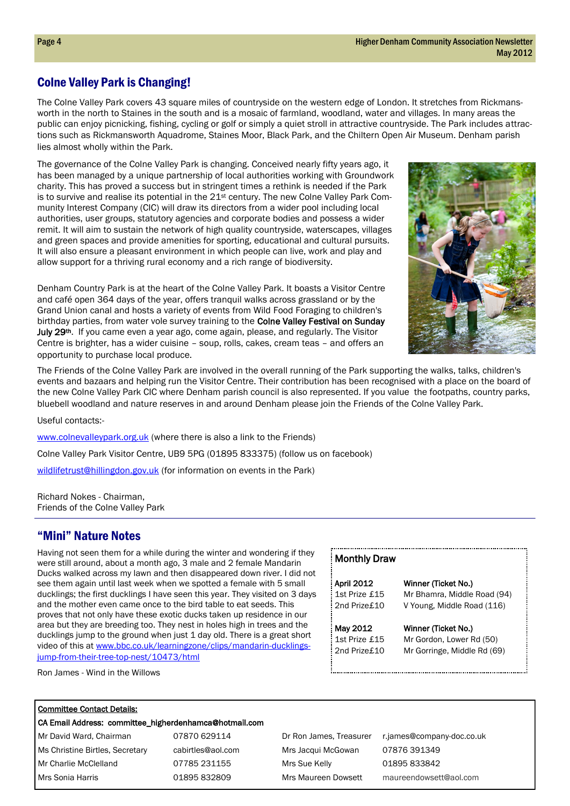### Colne Valley Park is Changing!

The Colne Valley Park covers 43 square miles of countryside on the western edge of London. It stretches from Rickmansworth in the north to Staines in the south and is a mosaic of farmland, woodland, water and villages. In many areas the public can enjoy picnicking, fishing, cycling or golf or simply a quiet stroll in attractive countryside. The Park includes attractions such as Rickmansworth Aquadrome, Staines Moor, Black Park, and the Chiltern Open Air Museum. Denham parish lies almost wholly within the Park.

The governance of the Colne Valley Park is changing. Conceived nearly fifty years ago, it has been managed by a unique partnership of local authorities working with Groundwork charity. This has proved a success but in stringent times a rethink is needed if the Park is to survive and realise its potential in the 21<sup>st</sup> century. The new Colne Valley Park Community Interest Company (CIC) will draw its directors from a wider pool including local authorities, user groups, statutory agencies and corporate bodies and possess a wider remit. It will aim to sustain the network of high quality countryside, waterscapes, villages and green spaces and provide amenities for sporting, educational and cultural pursuits. It will also ensure a pleasant environment in which people can live, work and play and allow support for a thriving rural economy and a rich range of biodiversity.

Denham Country Park is at the heart of the Colne Valley Park. It boasts a Visitor Centre and café open 364 days of the year, offers tranquil walks across grassland or by the Grand Union canal and hosts a variety of events from Wild Food Foraging to children's birthday parties, from water vole survey training to the Colne Valley Festival on Sunday July 29<sup>th</sup>. If you came even a year ago, come again, please, and regularly. The Visitor Centre is brighter, has a wider cuisine – soup, rolls, cakes, cream teas – and offers an opportunity to purchase local produce.



The Friends of the Colne Valley Park are involved in the overall running of the Park supporting the walks, talks, children's events and bazaars and helping run the Visitor Centre. Their contribution has been recognised with a place on the board of the new Colne Valley Park CIC where Denham parish council is also represented. If you value the footpaths, country parks, bluebell woodland and nature reserves in and around Denham please join the Friends of the Colne Valley Park.

Useful contacts:-

[www.colnevalleypark.org.uk](http://www.colnevalleypark.org.uk/) (where there is also a link to the Friends)

Colne Valley Park Visitor Centre, UB9 5PG (01895 833375) (follow us on facebook)

[wildlifetrust@hillingdon.gov.uk](mailto:wildlifetrust@hillingdon.gov.uk) (for information on events in the Park)

Richard Nokes - Chairman, Friends of the Colne Valley Park

### "Mini" Nature Notes

Having not seen them for a while during the winter and wondering if they were still around, about a month ago, 3 male and 2 female Mandarin Ducks walked across my lawn and then disappeared down river. I did not see them again until last week when we spotted a female with 5 small ducklings; the first ducklings I have seen this year. They visited on 3 days and the mother even came once to the bird table to eat seeds. This proves that not only have these exotic ducks taken up residence in our area but they are breeding too. They nest in holes high in trees and the ducklings jump to the ground when just 1 day old. There is a great short video of this at [www.bbc.co.uk/learningzone/clips/mandarin-ducklings](http://www.bbc.co.uk/learningzone/clips/mandarin-ducklings-jump-from-their-tree-top-nest/10473/html)[jump-from-their-tree-top-nest/10473/html](http://www.bbc.co.uk/learningzone/clips/mandarin-ducklings-jump-from-their-tree-top-nest/10473/html)

Ron James - Wind in the Willows

| <b>April 2012</b> | Winner (Ticket No.)         |
|-------------------|-----------------------------|
| 1st Prize £15     | Mr Bhamra, Middle Road (94) |
| 2nd Prize£10      | V Young, Middle Road (116)  |
| May 2012          | Winner (Ticket No.)         |
| 1st Prize £15     | Mr Gordon, Lower Rd (50)    |
| 2nd Prize£10      | Mr Gorringe, Middle Rd (69) |

### Committee Contact Details:

#### CA Email Address: committee\_higherdenhamca@hotmail.com

Mr Charlie McClelland **07785 231155** Mrs Sue Kelly **01895 833842** Mr David Ward, Chairman **07870 629114** Dr Ron James, Treasurer r.james@company-doc.co.uk Ms Christine Birtles, Secretary cabirtles@aol.com Mrs Jacqui McGowan 07876 391349 Mrs Sonia Harris 01895 832809 Mrs Maureen Dowsett maureendowsett@aol.com